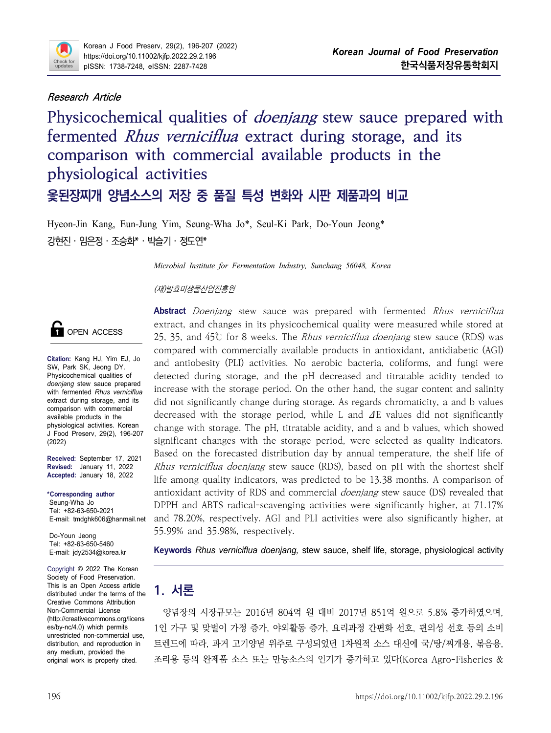

### **Research Article**

**Physicochemical qualities of doenjang stew sauce prepared with fermented Rhus verniciflua extract during storage, and its comparison with commercial available products in the physiological activities 옻된장찌개 양념소스의 저장 중 품질 특성 변화와 시판 제품과의 비교**

Hyeon-Jin Kang, Eun-Jung Yim, Seung-Wha Jo\*, Seul-Ki Park, Do-Youn Jeong\* 강현진․임은정․조승화\*․박슬기․정도연\*

*Microbial Institute for Fermentation Industry, Sunchang 56048, Korea*

(재)발효미생물산업진흥원



**Citation:** Kang HJ, Yim EJ, Jo SW, Park SK, Jeong DY. Physicochemical qualities of *doenjang* stew sauce prepared with fermented *Rhus verniciflua*  extract during storage, and its comparison with commercial available products in the physiological activities. Korean J Food Preserv, 29(2), 196-207 (2022)

**Received:** September 17, 2021 **Revised:** January 11, 2022 **Accepted:** January 18, 2022

**\*Corresponding author** Seung-Wha Jo Tel: +82-63-650-2021 E-mail: tmdghk606@hanmail.net

Do-Youn Jeong Tel: +82-63-650-5460 E-mail: jdy2534@korea.kr

Copyright © 2022 The Korean Society of Food Preservation. This is an Open Access article distributed under the terms of the Creative Commons Attribution Non-Commercial License es/by-nc/4.0) which permits distribution, and reproduction in any medium, provided the original work is properly cited.

**Abstract** Doenjang stew sauce was prepared with fermented Rhus verniciflua extract, and changes in its physicochemical quality were measured while stored at 25, 35, and 45℃ for 8 weeks. The *Rhus verniciflua doenjang* stew sauce (RDS) was compared with commercially available products in antioxidant, antidiabetic (AGI) and antiobesity (PLI) activities. No aerobic bacteria, coliforms, and fungi were detected during storage, and the pH decreased and titratable acidity tended to increase with the storage period. On the other hand, the sugar content and salinity did not significantly change during storage. As regards chromaticity, a and b values decreased with the storage period, while L and ΔE values did not significantly change with storage. The pH, titratable acidity, and a and b values, which showed significant changes with the storage period, were selected as quality indicators. Based on the forecasted distribution day by annual temperature, the shelf life of Rhus verniciflua doenjang stew sauce (RDS), based on pH with the shortest shelf life among quality indicators, was predicted to be 13.38 months. A comparison of antioxidant activity of RDS and commercial doenjang stew sauce (DS) revealed that DPPH and ABTS radical-scavenging activities were significantly higher, at 71.17% and 78.20%, respectively. AGI and PLI activities were also significantly higher, at 55.99% and 35.98%, respectively.

**Keywords** *Rhus verniciflua doenjang,* stew sauce, shelf life, storage, physiological activity

# **1. 서론**

Non-Commercial License 양념장의 시장규모는 2016년 804억 원 대비 2017년 851억 원으로 5.8% 증가하였으며,<br>(http://creativecommons.org/licens unrestricted non-commercial use, 1인 가구 및 맞벌이 가정 증가, 야외활동 증가, 요리과정 간편화 선호, 편의성 선호 등의 소비 조리용 등의 완제품 소스 또는 만능소스의 인기가 증가하고 있다(Korea Agro-Fisheries &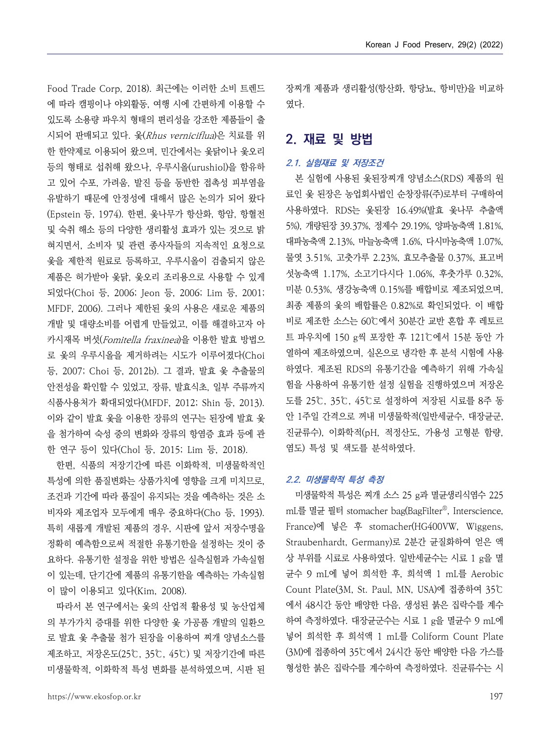Food Trade Corp, 2018). 최근에는 이러한 소비 트렌드 에 따라 캠핑이나 야외활동, 여행 시에 간편하게 이용할 수 있도록 소용량 파우치 형태의 편리성을 강조한 제품들이 출 시되어 판매되고 있다. 옻(Rhus verniciflua)은 치료를 위 한 한약제로 이용되어 왔으며, 민간에서는 옻닭이나 옻오리 등의 형태로 섭취해 왔으나, 우루시올(urushiol)을 함유하 고 있어 수포, 가려움, 발진 등을 동반한 접촉성 피부염을 유발하기 때문에 안정성에 대해서 많은 논의가 되어 왔다 (Epstein 등, 1974). 한편, 옻나무가 항산화, 항암, 항혈전 및 숙취 해소 등의 다양한 생리활성 효과가 있는 것으로 밝 혀지면서, 소비자 및 관련 종사자들의 지속적인 요청으로 옻을 제한적 원료로 등록하고, 우루시올이 검출되지 않은 제품은 허가받아 옻닭, 옻오리 조리용으로 사용할 수 있게 되었다(Choi 등, 2006; Jeon 등, 2006; Lim 등, 2001; 미분 0.53%, 생강농축액 0.15%를 배합비로 제조되었으며, MFDF, 2006). 그러나 제한된 옻의 사용은 새로운 제품의 개발 및 대량소비를 어렵게 만들었고, 이를 해결하고자 아 카시재목 버섯(Fomitella fraxinea)을 이용한 발효 방법으 로 옻의 우루시올을 제거하려는 시도가 이루어졌다(Choi 등, 2007; Choi 등, 2012b). 그 결과, 발효 옻 추출물의 안전성을 확인할 수 있었고, 장류, 발효식초, 일부 주류까지 식품사용처가 확대되었다(MFDF, 2012; Shin 등, 2013). 이와 같이 발효 옻을 이용한 장류의 연구는 된장에 발효 옻 \_\_\_\_ 안 1주일 간격으로 꺼내 미생물학적(일반세균수, 대장균군, 을 첨가하여 숙성 중의 변화와 장류의 항염증 효과 등에 관 한 연구 등이 있다(Chol 등, 2015; Lim 등, 2018).

한편, 식품의 저장기간에 따른 이화학적, 미생물학적인 특성에 의한 품질변화는 상품가치에 영향을 크게 미치므로,<br>조건과 기간에 따라 품질이 유지되는 것을 예측하는 것은 소 비자와 제조업자 모두에게 매우 중요하다(Cho 등, 1993). 특히 새롭게 개발된 제품의 경우, 시판에 앞서 저장수명을 정확히 예측함으로써 적절한 유통기한을 설정하는 것이 중 요하다. 유통기한 설정을 위한 방법은 실측실험과 가속실험 이 있는데, 단기간에 제품의 유통기한을 예측하는 가속실험 이 많이 이용되고 있다(Kim, 2008).

따라서 본 연구에서는 옻의 산업적 활용성 및 농산업체 의 부가가치 증대를 위한 다양한 옻 가공품 개발의 일환으 로 발효 옻 추출물 첨가 된장을 이용하여 찌개 양념소스를 제조하고, 저장온도(25℃, 35℃, 45℃) 및 저장기간에 따른 미생물학적, 이화학적 특성 변화를 분석하였으며, 시판 된 장찌개 제품과 생리활성(항산화, 항당뇨, 항비만)을 비교하 였다.

# **2. 재료 및 방법**

#### **2.1. 실험재료 및 저장조건**

본 실험에 사용된 옻된장찌개 양념소스(RDS) 제품의 원 료인 옻 된장은 농업회사법인 순창장류(주)로부터 구매하여 사용하였다. RDS는 옻된장 16.49%(발효 옻나무 추출액 5%), 개량된장 39.37%, 정제수 29.19%, 양파농축액 1.81%, 대파농축액 2.13%, 마늘농축액 1.6%, 다시마농축액 1.07%, 물엿 3.51%, 고춧가루 2.23%, 효모추출물 0.37%, 표고버 섯농축액 1.17%, 소고기다시다 1.06%, 후춧가루 0.32%, 최종 제품의 옻의 배합률은 0.82%로 확인되었다. 이 배합 비로 제조한 소스는 60℃에서 30분간 교반 혼합 후 레토르 트 파우치에 150 g씩 포장한 후 121℃에서 15분 동안 가 열하여 제조하였으며, 실온으로 냉각한 후 분석 시험에 사용 하였다. 제조된 RDS의 유통기간을 예측하기 위해 가속실 험을 사용하여 유통기한 설정 실험을 진행하였으며 저장온 도를 25℃, 35℃, 45℃로 설정하여 저장된 시료를 8주 동 진균류수), 이화학적(pH, 적정산도, 가용성 고형분 함량,<br>염도) 특성 및 색도를 분석하였다.

#### **2.2. 미생물학적 특성 측정**

미생물학적 특성은 찌개 소스 25 g과 멸균생리식염수 225 mL를 멸균 필터 stomacher bag(BagFilter® , Interscience, France)에 넣은 후 stomacher(HG400VW, Wiggens, Straubenhardt, Germany)로 2분간 균질화하여 얻은 액 상 부위를 시료로 사용하였다. 일반세균수는 시료 1 g을 멸 균수 9 mL에 넣어 희석한 후, 희석액 1 mL를 Aerobic Count Plate(3M, St. Paul, MN, USA)에 접종하여 35℃ 에서 48시간 동안 배양한 다음, 생성된 붉은 집락수를 계수 하여 측정하였다. 대장균군수는 시료 1 g을 멸균수 9 mL에 넣어 희석한 후 희석액 1 mL를 Coliform Count Plate (3M)에 접종하여 35℃에서 24시간 동안 배양한 다음 가스를 형성한 붉은 집락수를 계수하여 측정하였다. 진균류수는 시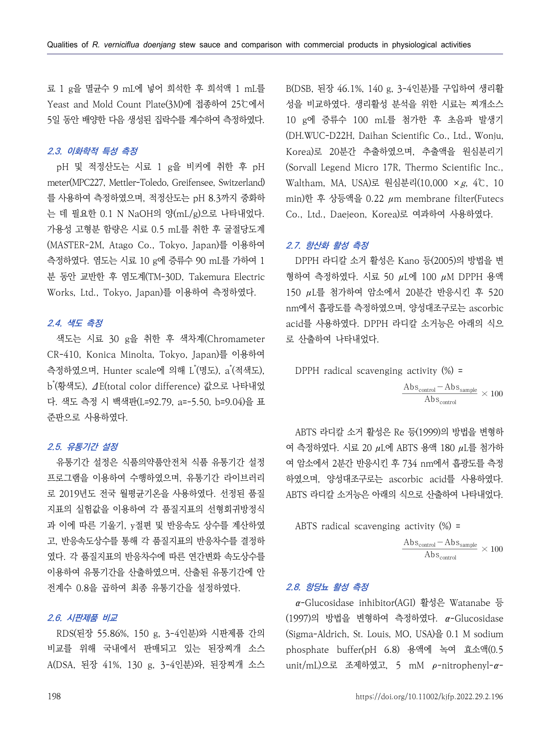료 1 g을 멸균수 9 mL에 넣어 희석한 후 희석액 1 mL를 Yeast and Mold Count Plate(3M)에 접종하여 25℃에서 5일 동안 배양한 다음 생성된 집락수를 계수하여 측정하였다.

#### **2.3. 이화학적 특성 측정**

pH 및 적정산도는 시료 1 g을 비커에 취한 후 pH meter(MPC227, Mettler-Toledo, Greifensee, Switzerland) 를 사용하여 측정하였으며, 적정산도는 pH 8.3까지 중화하 는 데 필요한 0.1 N NaOH의 양(mL/g)으로 나타내었다.<br>가용성 고형분 함량은 시료 0.5 mL를 취한 후 굴절당도계 (MASTER-2M, Atago Co., Tokyo, Japan)를 이용하여 측정하였다. 염도는 시료 10 g에 증류수 90 mL를 가하여 1 분 동안 교반한 후 염도계(TM-30D, Takemura Electric Works, Ltd., Tokyo, Japan)를 이용하여 측정하였다.

#### **2.4. 색도 측정**

색도는 시료 30 g을 취한 후 색차계(Chromameter CR-410, Konica Minolta, Tokyo, Japan)를 이용하여 측정하였으며, Hunter scale에 의해 L \*(명도), a \*(적색도), b \*(황색도), ΔE(total color difference) 값으로 나타내었 다. 색도 측정 시 백색판(L=92.79, a=-5.50, b=9.04)을 표 준판으로 사용하였다.

#### **2.5. 유통기간 설정**

유통기간 설정은 식품의약품안전처 식품 유통기간 설정 프로그램을 이용하여 수행하였으며, 유통기간 라이브러리 하였으며, 양성대조구로는 ascorbic acid를 사용하였다. 로 2019년도 전국 월평균기온을 사용하였다. 선정된 품질 지표의 실험값을 이용하여 각 품질지표의 선형회귀방정식 과 이에 따른 기울기, y절편 및 반응속도 상수를 계산하였 고, 반응속도상수를 통해 각 품질지표의 반응차수를 결정하 였다. 각 품질지표의 반응차수에 따른 연간변화 속도상수를 이용하여 유통기간을 산출하였으며, 산출된 유통기간에 안 전계수 0.8을 곱하여 최종 유통기간을 설정하였다.

#### **2.6. 시판제품 비교**

RDS(된장 55.86%, 150 g, 3-4인분)와 시판제품 간의 비교를 위해 국내에서 판매되고 있는 된장찌개 소스 A(DSA, 된장 41%, 130 g, 3-4인분)와, 된장찌개 소스 B(DSB, 된장 46.1%, 140 g, 3-4인분)를 구입하여 생리활 성을 비교하였다. 생리활성 분석을 위한 시료는 찌개소스 10 g에 증류수 100 mL를 첨가한 후 초음파 발생기 (DH.WUC-D22H, Daihan Scientific Co., Ltd., Wonju, Korea)로 20분간 추출하였으며, 추출액을 원심분리기 (Sorvall Legend Micro 17R, Thermo Scientific Inc., Waltham, MA, USA)로 원심분리(10,000 ×g, 4℃, 10 min)한 후 상등액을 0.22 μm membrane filter(Futecs Co., Ltd., Daejeon, Korea)로 여과하여 사용하였다.

#### **2.7. 항산화 활성 측정**

DPPH 라디칼 소거 활성은 Kano 등(2005)의 방법을 변 형하여 측정하였다. 시료 50 μL에 100 μM DPPH 용액 150 μL를 첨가하여 암소에서 20분간 반응시킨 후 520 nm에서 흡광도를 측정하였으며, 양성대조구로는 ascorbic acid를 사용하였다. DPPH 라디칼 소거능은 아래의 식으 로 산출하여 나타내었다. 20분간 반응시킨 후 520<br>, 양성대조구로는 ascorbic<br>디칼 소거능은 아래의 식으<br>activity (%) =<br>Abs<sub>control</sub> — Abs<sub>sample</sub> × 100<br>Abs<sub>control</sub> — Abs<sub>control</sub>

$$
\begin{aligned} \text{DPPH radical scavenging activity (\%)} = \\ \frac{\text{Abs}_{\text{control}} - \text{Abs}_{\text{sample}}}{\text{Abs}_{\text{control}}} \times 100 \end{aligned}
$$

ABTS 라디칼 소거 활성은 Re 등(1999)의 방법을 변형하 여 측정하였다. 시료 20 μL에 ABTS 용액 180 μL를 첨가하 여 암소에서 2분간 반응시킨 후 734 nm에서 흡광도를 측정 ABTS 라디칼 소거능은 아래의 식으로 산출하여 나타내었다. BTS 용액 180 µL를 첨가하<br>734 nm에서 흡광도를 측정<br>orbic acid를 사용하였다.<br><br><br>이드로 산출하여 나타내었다.<br>activity (%) =<br>Abs<sub>control</sub> — Abs<sub>sample</sub> × 100<br>Abs<sub>control</sub>

ABTS radical scavenging activity  $%$  =

$$
\frac{\text{Abs}_{\text{control}} - \text{Abs}_{\text{sample}}}{\text{Abs}_{\text{control}}} \times 100
$$

#### **2.8. 항당뇨 활성 측정**

α-Glucosidase inhibitor(AGI) 활성은 Watanabe 등 (1997)의 방법을 변형하여 측정하였다. α-Glucosidase (Sigma-Aldrich, St. Louis, MO, USA)을 0.1 M sodium phosphate buffer(pH 6.8) 용액에 녹여 효소액(0.5 unit/mL)으로 조제하였고, 5 mM ρ-nitrophenyl-α-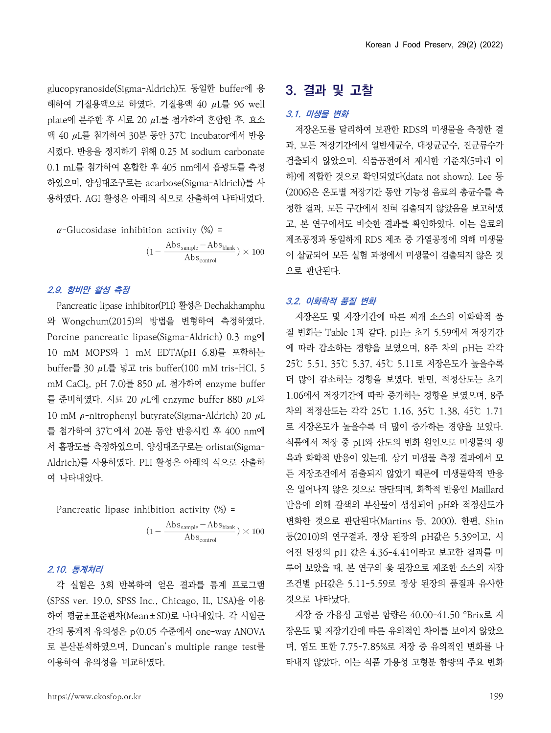glucopyranoside(Sigma-Aldrich)도 동일한 buffer에 용 해하여 기질용액으로 하였다. 기질용액 40 μL를 96 well plate에 분주한 후 시료 20 μL를 첨가하여 혼합한 후, 효소 액 40 μL를 첨가하여 30분 동안 37℃ incubator에서 반응 시켰다. 반응을 정지하기 위해 0.25 M sodium carbonate 0.1 mL를 첨가하여 혼합한 후 405 nm에서 흡광도를 측정 하였으며, 양성대조구로는 acarbose(Sigma-Aldrich)를 사 용하였다. AGI 활성은 아래의 식으로 산출하여 나타내었다. |해 0.25 M sodium carbonate<br>'후 405 nm에서 흡광도를 측정<br>acarbose(Sigma-Aldrich)를 사<br>acarbose(Sigma-Aldrich)를 사<br>|의 식으로 산출하여 나타내었다. 20<br>|이 성호 고, 제조<br>tion activity (%) = 고, 제조<br>(1-Abs<sub>sample</sub>-Abs<sub>blank</sub>) × 100 이 오토

$$
\alpha
$$
-Glucosidase inhibition activity (%) =  

$$
(1 - \frac{\text{Abs}_{\text{sample}} - \text{Abs}_{\text{blank}}}{\text{Shample}}
$$

#### **2.9. 항비만 활성 측정**

Pancreatic lipase inhibitor(PLI) 활성은 Dechakhamphu <sup>와</sup> Wongchum(2015)의 방법을 변형하여 측정하였다. Porcine pancreatic lipase(Sigma-Aldrich) 0.3 mg에 10 mM MOPS와 1 mM EDTA(pH 6.8)를 포함하는 buffer를 30 μL를 넣고 tris buffer(100 mM tris-HCl, 5 mM CaCl<sub>2</sub>, pH 7.0)를 850  $\mu$ L 첨가하여 enzyme buffer 를 준비하였다. 시료 20 μL에 enzyme buffer 880 μL와 10 mM  $\rho$ -nitrophenyl butyrate(Sigma-Aldrich) 20  $\mu$ L 를 첨가하여 37℃에서 20분 동안 반응시킨 후 400 nm에 · 로 저장온도가 높을수록 더 많이 증가하는 경향을 보였다. 서 흡광도를 측정하였으며, 양성대조구로는 orlistat(Sigma-Aldrich)를 사용하였다. PLI 활성은 아래의 식으로 산출하 여 나타내었다.<br>Pancreatic lipase inhibition activity (%) = 분 동안 반응시킨 후 400 nm에<br>양성대조구로는 orlistat(Sigma-<br>니 활성은 아래의 식으로 산출하<br>- 두 :<br>ibition activity (%) = 만들<br>ibition activity (%) = 만들<br>(1- Abs<sub>sample</sub>-Abs<sub>blank</sub>) × 100 를(.<br>이건<br>어진

Pancreatic lipase inhibition activity 
$$
(\%) =
$$

$$
\frac{\text{(1 - \frac{Abs_{sample} - Abs_{blank}}{Abs_{control}})} \times 100}{\text{Abs}_{control}}
$$

#### **2.10. 통계처리**

각 실험은 3회 반복하여 얻은 결과를 통계 프로그램 (SPSS ver. 19.0, SPSS Inc., Chicago, IL, USA)을 이용 하여 평균±표준편차(Mean±SD)로 나타내었다. 각 시험군 간의 통계적 유의성은 p<0.05 수준에서 one-way ANOVA 로 분산분석하였으며, Duncan's multiple range test를 이용하여 유의성을 비교하였다.

## **3. 결과 및 고찰**

#### **3.1. 미생물 변화**

저장온도를 달리하여 보관한 RDS의 미생물을 측정한 결 과, 모든 저장기간에서 일반세균수, 대장균군수, 진균류수가 검출되지 않았으며, 식품공전에서 제시한 기준치(5마리 이 하)에 적합한 것으로 확인되었다(data not shown). Lee 등 (2006)은 온도별 저장기간 동안 기능성 음료의 총균수를 측 정한 결과, 모든 구간에서 전혀 검출되지 않았음을 보고하였 고, 본 연구에서도 비슷한 결과를 확인하였다. 이는 음료의 제조공정과 동일하게 RDS 제조 중 가열공정에 의해 미생물 이 살균되어 모든 실험 과정에서 미생물이 검출되지 않은 것 으로 판단된다.

#### **3.2. 이화학적 품질 변화**

저장온도 및 저장기간에 따른 찌개 소스의 이화학적 품 질 변화는 Table 1과 같다. pH는 초기 5.59에서 저장기간 에 따라 감소하는 경향을 보였으며, 8주 차의 pH는 각각 25℃ 5.51, 35℃ 5.37, 45℃ 5.11로 저장온도가 높을수록 더 많이 감소하는 경향을 보였다. 반면, 적정산도는 초기 1.06에서 저장기간에 따라 증가하는 경향을 보였으며, 8주 차의 적정산도는 각각 25℃ 1.16, 35℃ 1.38, 45℃ 1.71 식품에서 저장 중 pH와 산도의 변화 원인으로 미생물의 생 육과 화학적 반응이 있는데, 상기 미생물 측정 결과에서 모 든 저장조건에서 검출되지 않았기 때문에 미생물학적 반응 은 일어나지 않은 것으로 판단되며, 화학적 반응인 Maillard 반응에 의해 갈색의 부산물이 생성되어 pH와 적정산도가 변화한 것으로 판단된다(Martins 등, 2000). 한편, Shin 등(2010)의 연구결과, 정상 된장의 pH값은 5.39이고, 시 어진 된장의 pH 값은 4.36-4.41이라고 보고한 결과를 미 루어 보았을 때, 본 연구의 옻 된장으로 제조한 소스의 저장 조건별 pH값은 5.11-5.59로 정상 된장의 품질과 유사한 것으로 나타났다.

저장 중 가용성 고형분 함량은 40.00-41.50 °Brix로 저 장온도 및 저장기간에 따른 유의적인 차이를 보이지 않았으 며, 염도 또한 7.75-7.85%로 저장 중 유의적인 변화를 나 타내지 않았다. 이는 식품 가용성 고형분 함량의 주요 변화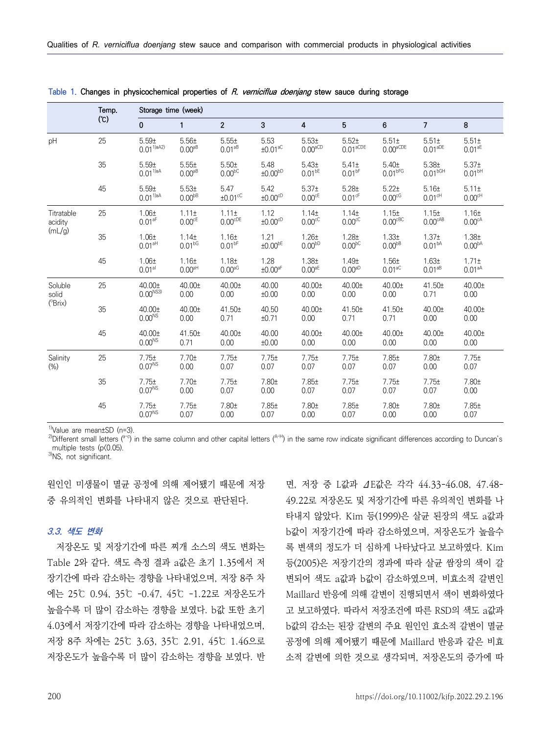|                       | Temp. |                                         | Storage time (week)                     |                                         |                               |                                           |                                           |                                           |                                          |                                         |  |
|-----------------------|-------|-----------------------------------------|-----------------------------------------|-----------------------------------------|-------------------------------|-------------------------------------------|-------------------------------------------|-------------------------------------------|------------------------------------------|-----------------------------------------|--|
|                       | (C)   | 0                                       | 1                                       | $\overline{2}$                          | 3                             | 4                                         | 5                                         | 6                                         | $\overline{7}$                           | 8                                       |  |
| pH                    | 25    | 5.59±<br>$0.01^{1)a(42)}$               | 5.56±<br>$0.00a_B$                      | 5.55±<br>$0.01^{aB}$                    | 5.53<br>$±0.01$ <sup>aC</sup> | 5.53±<br>$0.00^{aCD}$                     | $5.52+$<br>$0.01$ <sup>aCDE</sup>         | $5.51 \pm$<br>$0.00^{\text{aCDE}}$        | $5.51 \pm$<br>$0.01^{\text{aDE}}$        | $5.51 \pm$<br>$0.01^{aE}$               |  |
|                       | 35    | 5.59±<br>$0.01^{1)aA}$                  | 5.55±<br>$0.00a_B$                      | 5.50±<br>0.00 <sub>pc</sub>             | 5.48<br>±0.00 <sup>bD</sup>   | 5.43±<br>$0.01^{bE}$                      | $5.41 \pm$<br>$0.01^{bF}$                 | 5.40±<br>0.01 <sup>bFG</sup>              | 5.38 <sub>±</sub><br>0.01 <sup>bGH</sup> | 5.37 <sub>±</sub><br>0.01 <sup>bh</sup> |  |
|                       | 45    | 5.59±<br>$0.01^{1)aA}$                  | 5.53 <sup>±</sup><br>0.00 <sub>PB</sub> | 5.47<br>$±0.01$ <sup>cC</sup>           | 5.42<br>±0.00 <sup>CD</sup>   | 5.37 <sub>±</sub><br>$0.00$ <sup>cE</sup> | 5.28±<br>$0.01$ <sup>cF</sup>             | 5.22±<br>0.00 <sup>cg</sup>               | 5.16±<br>$0.01$ <sup>cH</sup>            | $5.11 \pm$<br>$0.00$ <sup>cH</sup>      |  |
| Titratable<br>acidity | 25    | $1.06\pm$<br>0.01 <sup>af</sup>         | $1.11 \pm$<br>$0.00$ <sup>cE</sup>      | $1.11 \pm$<br>$0.00^{\text{cDE}}$       | 1.12<br>±0.00 <sup>CD</sup>   | 1.14 <sub>±</sub><br>$0.00$ <sup>cC</sup> | 1.14 <sub>±</sub><br>$0.00$ <sup>cC</sup> | 1.15±<br>$0.00$ <sup>cBC</sup>            | 1.15±<br>$0.00^{\text{cAB}}$             | 1.16±<br>$0.00^{cA}$                    |  |
| (mL/g)                | 35    | 1.06 <sub>±</sub><br>0.01 <sup>aH</sup> | 1.14 <sub>±</sub><br>$0.01^{bG}$        | 1.16 <sub>±</sub><br>$0.01^{bF}$        | 1.21<br>$±0.00^{bE}$          | $1.26 +$<br>0.00 <sup>bD</sup>            | $1.28 +$<br>0.00 <sub>pc</sub>            | 1.33 <sub>±</sub><br>$0.00^{bB}$          | 1.37 <sub>±</sub><br>0.01 <sup>bA</sup>  | 1.38 <sub>±</sub><br>0.00 <sup>bA</sup> |  |
|                       | 45    | 1.06 <sub>±</sub><br>0.01 <sup>al</sup> | 1.16 <sub>±</sub><br>0.00 <sup>aH</sup> | 1.18 <sub>±</sub><br>0.00 <sup>aG</sup> | 1.28<br>$±0.00$ <sup>aF</sup> | 1.38 <sub>±</sub><br>$0.00^{\text{aE}}$   | 1.49 <sub>±</sub><br>0.00 <sup>aD</sup>   | 1.56 <sub>±</sub><br>$0.01$ <sup>aC</sup> | 1.63 <sub>±</sub><br>$0.01^{aB}$         | $1.71 \pm$<br>0.01 <sup>aA</sup>        |  |
| Soluble<br>solid      | 25    | $40.00 \pm$<br>$0.00^{NSS}$             | 40.00±<br>0.00                          | $40.00 \pm$<br>0.00                     | 40.00<br>±0.00                | $40.00 \pm$<br>0.00                       | $40.00 \pm$<br>0.00                       | 40.00±<br>0.00                            | 41.50±<br>0.71                           | $40.00 \pm$<br>0.00                     |  |
| (°Brix)               | 35    | $40.00 \pm$<br>0.00 <sup>NS</sup>       | 40.00±<br>0.00                          | $41.50 \pm$<br>0.71                     | 40.50<br>±0.71                | $40.00 \pm$<br>0.00                       | $41.50 \pm$<br>0.71                       | $41.50 \pm$<br>0.71                       | 40.00±<br>0.00                           | $40.00 \pm$<br>0.00                     |  |
|                       | 45    | 40.00±<br>$0.00^{NS}$                   | 41.50±<br>0.71                          | 40.00±<br>0.00                          | 40.00<br>±0.00                | 40.00±<br>0.00                            | 40.00±<br>0.00                            | 40.00±<br>0.00                            | 40.00±<br>0.00                           | $40.00 \pm$<br>0.00                     |  |
| Salinity<br>(% )      | 25    | 7.75±<br>$0.07^{NS}$                    | 7.70±<br>0.00                           | 7.75±<br>0.07                           | 7.75±<br>0.07                 | 7.75±<br>0.07                             | 7.75±<br>0.07                             | 7.85±<br>0.07                             | 7.80±<br>0.00                            | 7.75±<br>0.07                           |  |
|                       | 35    | 7.75±<br>0.07 <sup>NS</sup>             | 7.70±<br>0.00                           | 7.75±<br>0.07                           | 7.80±<br>0.00                 | 7.85±<br>0.07                             | 7.75±<br>0.07                             | 7.75±<br>0.07                             | 7.75±<br>0.07                            | 7.80±<br>0.00                           |  |
|                       | 45    | 7.75±<br>$0.07^{NS}$                    | 7.75±<br>0.07                           | 7.80±<br>0.00                           | 7.85±<br>0.07                 | 7.80±<br>0.00                             | 7.85±<br>0.07                             | 7.80±<br>0.00                             | 7.80±<br>0.00                            | 7.85±<br>0.07                           |  |

**Table 1. Changes in physicochemical properties of R. verniciflua doenjang stew sauce during storage**

 $1$ <sup>1</sup>)Value are mean $\pm$ SD (n=3).

<sup>2)</sup>Different small letters ( $a-c$ ) in the same column and other capital letters ( $a+b$ ) in the same row indicate significant differences according to Duncan's multiple tests (p(0.05).

3)NS, not significant.

원인인 미생물이 멸균 공정에 의해 제어됐기 때문에 저장 중 유의적인 변화를 나타내지 않은 것으로 판단된다.

#### **3.3. 색도 변화**

저장온도 및 저장기간에 따른 찌개 소스의 색도 변화는 Table 2와 같다. 색도 측정 결과 a값은 초기 1.35에서 저 장기간에 따라 감소하는 경향을 나타내었으며, 저장 8주 차 에는 25℃ 0.94, 35℃ -0.47, 45℃ -1.22로 저장온도가 높을수록 더 많이 감소하는 경향을 보였다. b값 또한 초기 4.03에서 저장기간에 따라 감소하는 경향을 나타내었으며,<br>저장 8주 차에는 25℃ 3.63, 35℃ 2.91, 45℃ 1.46으로 저장온도가 높을수록 더 많이 감소하는 경향을 보였다. 반

면, 저장 중 L값과 ΔE값은 각각 44.33-46.08, 47.48- 49.22로 저장온도 및 저장기간에 따른 유의적인 변화를 나 타내지 않았다. Kim 등(1999)은 살균 된장의 색도 a값과 b값이 저장기간에 따라 감소하였으며, 저장온도가 높을수 록 변색의 정도가 더 심하게 나타났다고 보고하였다. Kim 등(2005)은 저장기간의 경과에 따라 살균 쌈장의 색이 갈 변되어 색도 a값과 b값이 감소하였으며, 비효소적 갈변인 Maillard 반응에 의해 갈변이 진행되면서 색이 변화하였다 고 보고하였다. 따라서 저장조건에 따른 RSD의 색도 a값과 b값의 감소는 된장 갈변의 주요 원인인 효소적 갈변이 멸균 공정에 의해 제어됐기 때문에 Maillard 반응과 같은 비효 소적 갈변에 의한 것으로 생각되며, 저장온도의 증가에 따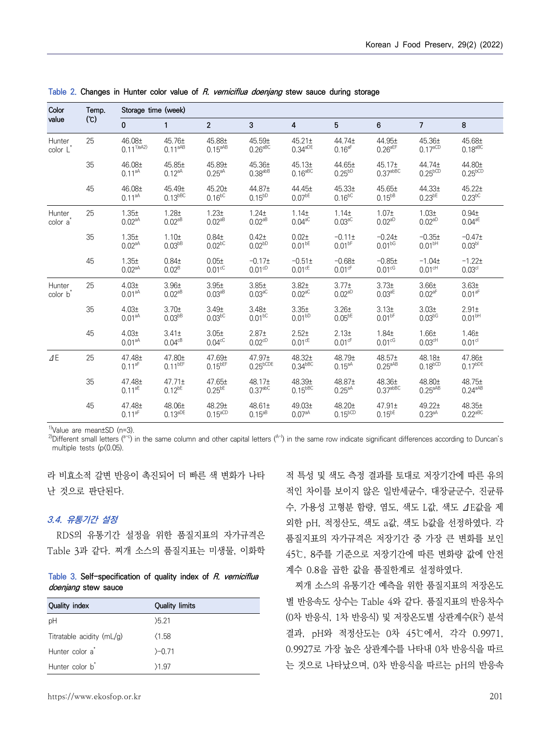| Color                          | Temp. | Storage time (week)                     |                                         |                                           |                                           |                                           |                                                 |                                         |                                            |                                         |  |
|--------------------------------|-------|-----------------------------------------|-----------------------------------------|-------------------------------------------|-------------------------------------------|-------------------------------------------|-------------------------------------------------|-----------------------------------------|--------------------------------------------|-----------------------------------------|--|
| value                          | (C)   | 0                                       | $\mathbf{1}$                            | $\overline{2}$                            | 3                                         | $\overline{4}$                            | 5                                               | 6                                       | $\overline{7}$                             | 8                                       |  |
| Hunter<br>color L              | 25    | 46.08±<br>$0.11^{1)a(42)}$              | $45.76 \pm$<br>$0.11^{aAB}$             | 45.88±<br>$0.15^{aAB}$                    | 45.59±<br>$0.26aBC}$                      | $45.21 \pm$<br>$0.34^{aDE}$               | 44.74±<br>0.16 <sup>af</sup>                    | 44.95±<br>$0.26$ <sup>aEF</sup>         | 45.36±<br>$0.17^{\text{aCD}}$              | 45.68±<br>$0.18^{aBC}$                  |  |
|                                | 35    | 46.08±<br>$0.11a^{AA}$                  | 45.85±<br>$0.12^{aA}$                   | 45.89±<br>$0.25aA}$                       | 45.36±<br>$0.38$ abB                      | 45.13±<br>$0.16^{aBC}$                    | 44.65±<br>$0.25^{bD}$                           | 45.17±<br>$0.37^{abBC}$                 | 44.74±<br>$0.25^{bCD}$                     | 44.80±<br>$0.25^{bCD}$                  |  |
|                                | 45    | 46.08±<br>$0.11^{aA}$                   | 45.49±<br>$0.13$ <sub>bBC</sub>         | 45.20±<br>$0.16^{bC}$                     | 44.87±<br>$0.15^{bD}$                     | 44.45±<br>$0.07^{bE}$                     | 45.33 <sub>±</sub><br>$0.16^{bC}$               | 45.65±<br>$0.15^{bB}$                   | 44.33 <sub>±</sub><br>$0.23$ <sup>bE</sup> | $45.22 \pm$<br>$0.23$ <sup>bC</sup>     |  |
| Hunter<br>color a              | 25    | 1.35 <sub>±</sub><br>$0.02^{aA}$        | $1.28 +$<br>$0.02^{aB}$                 | 1.23 <sub>±</sub><br>$0.02^{dB}$          | $1.24 \pm$<br>$0.02^{aB}$                 | 1.14 <sub>±</sub><br>$0.04$ <sup>aC</sup> | 1.14 <sub>±</sub><br>$0.03\textsuperscript{ac}$ | $1.07\pm$<br>$0.02$ <sup>aD</sup>       | 1.03 <sub>±</sub><br>$0.02a^{D}$           | 0.94 <sub>±</sub><br>$0.04^{\text{aE}}$ |  |
|                                | 35    | 1.35 <sub>±</sub><br>$0.02^{aA}$        | 1.10 <sub>±</sub><br>0.03 <sub>PB</sub> | 0.84 <sub>±</sub><br>$0.02$ <sub>bc</sub> | 0.42 <sub>±</sub><br>$0.02^{bD}$          | 0.02 <sub>±</sub><br>$0.01^{bE}$          | $-0.11 \pm$<br>$0.01^{bF}$                      | $-0.24+$<br>$0.01^{bG}$                 | $-0.35±$<br>0.01 <sup>bh</sup>             | $-0.47+$<br>0.03 <sup>bl</sup>          |  |
|                                | 45    | 1.35 <sub>±</sub><br>0.02 <sup>aA</sup> | 0.84 <sub>±</sub><br>$0.02^B$           | 0.05 <sub>±</sub><br>$0.01$ <sup>cC</sup> | $-0.17±$<br>$0.01^{\text{cD}}$            | $-0.51 \pm$<br>$0.01$ <sup>cE</sup>       | $-0.68 +$<br>$0.01$ <sup>cF</sup>               | $-0.85±$<br>$0.01$ <sup>cG</sup>        | $-1.04\pm$<br>$0.01^{\text{cH}}$           | $-1.22+$<br>0.03 <sup>cl</sup>          |  |
| Hunter<br>color b <sup>*</sup> | 25    | 4.03 <sub>±</sub><br>$0.01a^{AA}$       | 3.96 <sub>±</sub><br>$0.02^{aB}$        | 3.95 <sub>±</sub><br>$0.03^{aB}$          | 3.85 <sub>±</sub><br>$0.03^{aC}$          | 3.82 <sub>±</sub><br>$0.02^{aC}$          | 3.77 <sub>±</sub><br>$0.02a^{D}$                | 3.73 <sub>±</sub><br>$0.03^{\text{aE}}$ | 3.66 <sub>±</sub><br>0.02aF                | 3.63 <sub>±</sub><br>0.01 <sup>af</sup> |  |
|                                | 35    | 4.03 <sub>±</sub><br>0.01 <sup>aA</sup> | 3.70 <sub>±</sub><br>0.03 <sup>bB</sup> | 3.49 <sub>±</sub><br>$0.03$ <sub>pc</sub> | 3.48 <sub>±</sub><br>$0.01^{bC}$          | 3.35 <sub>±</sub><br>$0.01^{bD}$          | 3.26 <sub>±</sub><br>$0.05^{bE}$                | 3.13 <sub>±</sub><br>$0.01^{bF}$        | 3.03 <sub>±</sub><br>$0.03^{bG}$           | $2.91 \pm$<br>0.01 <sup>bh</sup>        |  |
|                                | 45    | 4.03 <sub>±</sub><br>$0.01^{aA}$        | $3.41 \pm$<br>$0.04^{cB}$               | 3.05±<br>$0.04$ <sup>cC</sup>             | 2.87 <sub>±</sub><br>$0.02$ <sup>cD</sup> | $2.52+$<br>$0.01$ <sup>cE</sup>           | 2.13±<br>$0.01$ <sup>cF</sup>                   | 1.84 <sub>±</sub><br>0.01 <sup>cg</sup> | 1.66 <sub>±</sub><br>0.03 <sup>cH</sup>    | 1.46 <sub>±</sub><br>0.01 <sup>cl</sup> |  |
| $\varDelta$ E                  | 25    | 47.48±<br>$0.11^{aF}$                   | 47.80±<br>$0.11$ <sup>bEF</sup>         | 47.69±<br>$0.15$ <sup>bEF</sup>           | 47.97±<br>$0.25^{bCDE}$                   | 48.32±<br>$0.34$ <sub>bBC</sub>           | 48.79±<br>$0.15^{aA}$                           | 48.57±<br>$0.25aAB}$                    | 48.18±<br>$0.18^{bCD}$                     | 47.86±<br>$0.17^{bDE}$                  |  |
|                                | 35    | 47.48±<br>$0.11^{aE}$                   | $47.71 \pm$<br>$0.12^{bE}$              | 47.65±<br>$0.25$ <sup>bE</sup>            | 48.17±<br>0.37 <sup>abc</sup>             | 48.39±<br>$0.15$ <sub>bBC</sub>           | 48.87±<br>$0.25aA}$                             | 48.36±<br>0.37 <sub>abc</sub>           | 48.80±<br>$0.25aAB}$                       | 48.75±<br>$0.24^{aAB}$                  |  |
|                                | 45    | 47.48±<br>$0.11^{aF}$                   | 48.06±<br>$0.13^{\text{aDE}}$           | 48.29±<br>$0.15^{\text{aCD}}$             | 48.61±<br>$0.15^{dB}$                     | 49.03±<br>$0.07^{aA}$                     | 48.20±<br>$0.15^{bCD}$                          | 47.91±<br>$0.15^{bE}$                   | 49.22±<br>$0.23^{aA}$                      | 48.35±<br>0.22aBC                       |  |

**Table 2. Changes in Hunter color value of R. verniciflua doenjang stew sauce during storage**

 $1$ <sup>1</sup>)Value are mean $\pm$ SD (n=3).

<sup>2)</sup>Different small letters ( $a-c$ ) in the same column and other capital letters ( $A$ -I) in the same row indicate significant differences according to Duncan's multiple tests (p(0.05).

라 비효소적 갈변 반응이 촉진되어 더 빠른 색 변화가 나타 난 것으로 판단된다.

### **3.4. 유통기간 설정**

RDS의 유통기간 설정을 위한 품질지표의 자가규격은 Table 3과 같다. 찌개 소스의 품질지표는 미생물, 이화학

| Table 3. Self-specification of quality index of R. verniciflua |  |  |  |  |
|----------------------------------------------------------------|--|--|--|--|
| doenjang stew sauce                                            |  |  |  |  |

| Quality index               | <b>Quality limits</b> |
|-----------------------------|-----------------------|
| pH                          | 5.21                  |
| Titratable acidity (mL/g)   | (1.58)                |
| Hunter color a <sup>*</sup> | $-0.71$               |
| Hunter color b <sup>*</sup> | 21.97                 |

적 특성 및 색도 측정 결과를 토대로 저장기간에 따른 유의 적인 차이를 보이지 않은 일반세균수, 대장균군수, 진균류 수, 가용성 고형분 함량, 염도, 색도 L값, 색도 ΔE값을 제 외한 pH, 적정산도, 색도 a값, 색도 b값을 선정하였다. 각 품질지표의 자가규격은 저장기간 중 가장 큰 변화를 보인 45℃, 8주를 기준으로 저장기간에 따른 변화량 값에 안전 계수 0.8을 곱한 값을 품질한계로 설정하였다.

찌개 소스의 유통기간 예측을 위한 품질지표의 저장온도 별 반응속도 상수는 Table 4와 같다. 품질지표의 반응차수 (0차 반응식, 1차 반응식) 및 저장온도별 상관계수(R<sup>2</sup> ) 분석 결과, pH와 적정산도는 0차 45℃에서, 각각 0.9971, 0.9927로 가장 높은 상관계수를 나타내 0차 반응식을 따르 는 것으로 나타났으며, 0차 반응식을 따르는 pH의 반응속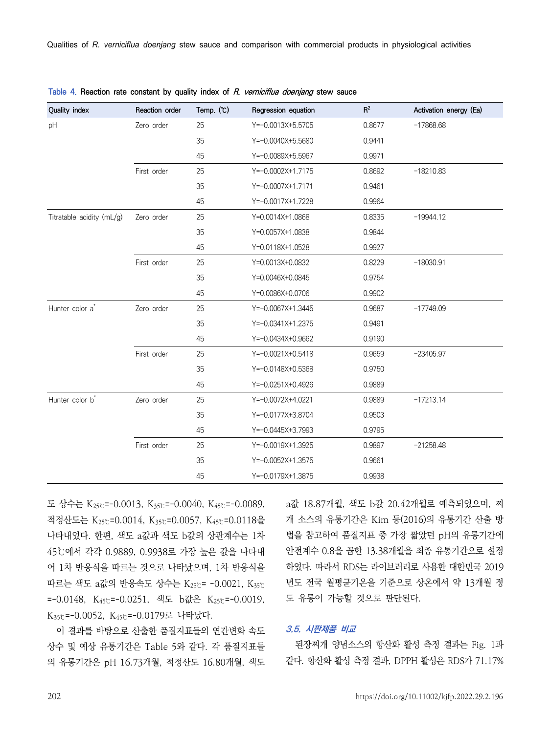| Quality index               | Reaction order | Temp. (°C) | Regression equation | $R^2$  | Activation energy (Ea) |
|-----------------------------|----------------|------------|---------------------|--------|------------------------|
| pH                          | Zero order     | 25         | $Y=-0.0013X+5.5705$ | 0.8677 | $-17868.68$            |
|                             |                | 35         | Y=-0.0040X+5.5680   | 0.9441 |                        |
|                             |                | 45         | Y=-0.0089X+5.5967   | 0.9971 |                        |
|                             | First order    | 25         | Y=-0.0002X+1.7175   | 0.8692 | $-18210.83$            |
|                             |                | 35         | Y=-0.0007X+1.7171   | 0.9461 |                        |
|                             |                | 45         | Y=-0.0017X+1.7228   | 0.9964 |                        |
| Titratable acidity (mL/g)   | Zero order     | 25         | Y=0.0014X+1.0868    | 0.8335 | $-19944.12$            |
|                             |                | 35         | Y=0.0057X+1.0838    | 0.9844 |                        |
|                             |                | 45         | Y=0.0118X+1.0528    | 0.9927 |                        |
|                             | First order    | 25         | Y=0.0013X+0.0832    | 0.8229 | $-18030.91$            |
|                             |                | 35         | Y=0.0046X+0.0845    | 0.9754 |                        |
|                             |                | 45         | Y=0.0086X+0.0706    | 0.9902 |                        |
| Hunter color a <sup>*</sup> | Zero order     | 25         | Y=-0.0067X+1.3445   | 0.9687 | $-17749.09$            |
|                             |                | 35         | Y=-0.0341X+1.2375   | 0.9491 |                        |
|                             |                | 45         | Y=-0.0434X+0.9662   | 0.9190 |                        |
|                             | First order    | 25         | Y=-0.0021X+0.5418   | 0.9659 | $-23405.97$            |
|                             |                | 35         | Y=-0.0148X+0.5368   | 0.9750 |                        |
|                             |                | 45         | Y=-0.0251X+0.4926   | 0.9889 |                        |
| Hunter color b <sup>*</sup> | Zero order     | 25         | Y=-0.0072X+4.0221   | 0.9889 | $-17213.14$            |
|                             |                | 35         | Y=-0.0177X+3.8704   | 0.9503 |                        |
|                             |                | 45         | Y=-0.0445X+3.7993   | 0.9795 |                        |
|                             | First order    | 25         | Y=-0.0019X+1.3925   | 0.9897 | $-21258.48$            |
|                             |                | 35         | $Y=-0.0052X+1.3575$ | 0.9661 |                        |
|                             |                | 45         | Y=-0.0179X+1.3875   | 0.9938 |                        |

| Table 4. Reaction rate constant by quality index of <i>R. verniciflua doenjang</i> stew sauce |  |
|-----------------------------------------------------------------------------------------------|--|
|-----------------------------------------------------------------------------------------------|--|

도 상수는 K25℃=-0.0013, K35℃=-0.0040, K45℃=-0.0089, 적정산도는 K25℃=0.0014, K35℃=0.0057, K45℃=0.0118을 나타내었다. 한편, 색도 a값과 색도 b값의 상관계수는 1차 45℃에서 각각 0.9889, 0.9938로 가장 높은 값을 나타내 어 1차 반응식을 따르는 것으로 나타났으며, 1차 반응식을 따르는 색도 a값의 반응속도 상수는 K25℃= -0.0021, K35℃ =-0.0148, K45℃=-0.0251, 색도 b값은 K25℃=-0.0019,  $K_{35}$ °=-0.0052,  $K_{45}$ °=-0.0179로 나타났다.<br>이 결과를 바탕으로 산출한 품질지표들의 연간변화 속도

상수 및 예상 유통기간은 Table 5와 같다. 각 품질지표들 의 유통기간은 pH 16.73개월, 적정산도 16.80개월, 색도

a값 18.87개월, 색도 b값 20.42개월로 예측되었으며, 찌 개 소스의 유통기간은 Kim 등(2016)의 유통기간 산출 방 법을 참고하여 품질지표 중 가장 짧았던 pH의 유통기간에 안전계수 0.8을 곱한 13.38개월을 최종 유통기간으로 설정 하였다. 따라서 RDS는 라이브러리로 사용한 대한민국 2019 년도 전국 월평균기온을 기준으로 상온에서 약 13개월 정 도 유통이 가능할 것으로 판단된다.

#### **3.5. 시판제품 비교**

된장찌개 양념소스의 항산화 활성 측정 결과는 Fig. 1과 같다. 항산화 활성 측정 결과, DPPH 활성은 RDS가 71.17%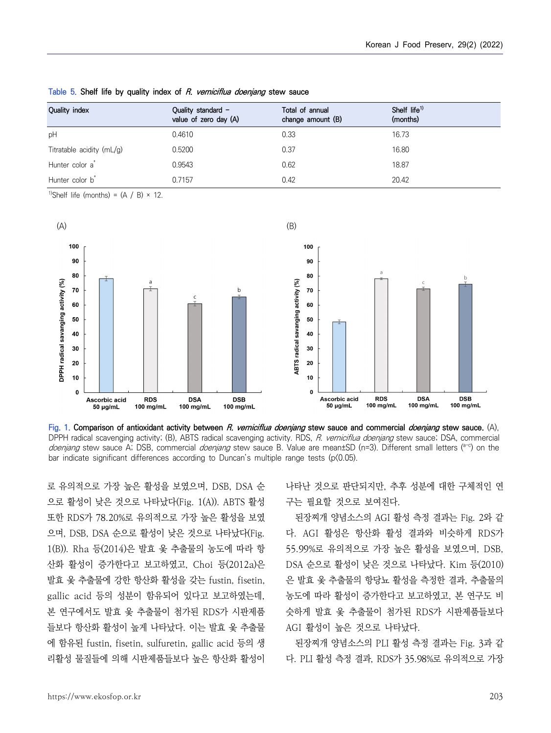| Quality index               | Quality standard -<br>value of zero day (A) | Total of annual<br>change amount (B) | Shelf $life^{1}$<br>(months) |
|-----------------------------|---------------------------------------------|--------------------------------------|------------------------------|
| pH                          | 0.4610                                      | 0.33                                 | 16.73                        |
| Titratable acidity $(mL/g)$ | 0.5200                                      | 0.37                                 | 16.80                        |
| Hunter color a <sup>*</sup> | 0.9543                                      | 0.62                                 | 18.87                        |
| Hunter color b <sup>*</sup> | 0.7157                                      | 0.42                                 | 20.42                        |

**Table 5. Shelf life by quality index of R. verniciflua doenjang stew sauce**

<sup>1)</sup>Shelf life (months) =  $(A / B) \times 12$ .



**Fig. 1. Comparison of antioxidant activity between R. verniciflua doenjang stew sauce and commercial doenjang stew sauce.** (A), DPPH radical scavenging activity; (B), ABTS radical scavenging activity. RDS, R. verniciflua doenjang stew sauce; DSA, commercial doenjang stew sauce A; DSB, commercial doenjang stew sauce B. Value are mean±SD (n=3). Different small letters (<sup>a-c</sup>) on the bar indicate significant differences according to Duncan's multiple range tests ( $p(0.05)$ ).

로 유의적으로 가장 높은 활성을 보였으며, DSB, DSA 순 으로 활성이 낮은 것으로 나타났다(Fig. 1(A)). ABTS 활성 또한 RDS가 78.20%로 유의적으로 가장 높은 활성을 보였 으며, DSB, DSA 순으로 활성이 낮은 것으로 나타났다(Fig. 1(B)). Rha 등(2014)은 발효 옻 추출물의 농도에 따라 항 산화 활성이 증가한다고 보고하였고, Choi 등(2012a)은 발효 옻 추출물에 강한 항산화 활성을 갖는 fustin, fisetin, gallic acid 등의 성분이 함유되어 있다고 보고하였는데,<br>본 연구에서도 발효 옻 추출물이 첨가된 RDS가 시판제품 들보다 항산화 활성이 높게 나타났다. 이는 발효 옻 추출물 에 함유된 fustin, fisetin, sulfuretin, gallic acid 등의 생 리활성 물질들에 의해 시판제품들보다 높은 항산화 활성이

나타난 것으로 판단되지만, 추후 성분에 대한 구체적인 연 구는 필요할 것으로 보여진다.

된장찌개 양념소스의 AGI 활성 측정 결과는 Fig. 2와 같 다. AGI 활성은 항산화 활성 결과와 비슷하게 RDS가 55.99%로 유의적으로 가장 높은 활성을 보였으며, DSB, DSA 순으로 활성이 낮은 것으로 나타났다. Kim 등(2010) 은 발효 옻 추출물의 항당뇨 활성을 측정한 결과, 추출물의 농도에 따라 활성이 증가한다고 보고하였고, 본 연구도 비 슷하게 발효 옻 추출물이 첨가된 RDS가 시판제품들보다 AGI 활성이 높은 것으로 나타났다.

된장찌개 양념소스의 PLI 활성 측정 결과는 Fig. 3과 같 다. PLI 활성 측정 결과, RDS가 35.98%로 유의적으로 가장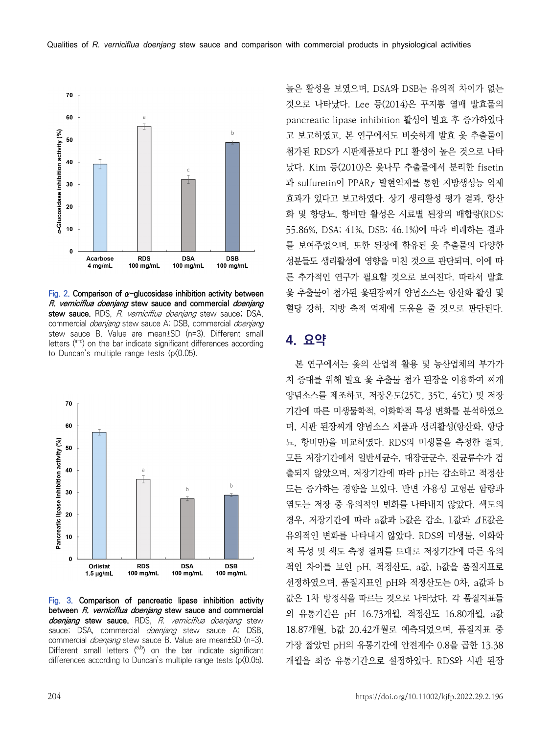

**Fig. 2. Comparison of α-glucosidase inhibition activity between R. verniciflua doenjang stew sauce and commercial doenjang**  stew sauce. RDS, R. verniciflua doenjang stew sauce; DSA, commercial *doenjang* stew sauce A; DSB, commercial *doenjang* stew sauce B. Value are mean±SD (n=3). Different small letters  $(10^{-c})$  on the bar indicate significant differences according to Duncan's multiple range tests (p $(0.05)$ ).



**Fig. 3. Comparison of pancreatic lipase inhibition activity between R. verniciflua doenjang stew sauce and commercial doenjang stew sauce.** RDS, R. verniciflua doenjang stew sauce; DSA, commercial *doenjang* stew sauce A; DSB, commercial *doenjang* stew sauce B. Value are mean±SD (n=3). Different small letters  $(^{a,b)}$  on the bar indicate significant differences according to Duncan's multiple range tests (p(0.05).

높은 활성을 보였으며, DSA와 DSB는 유의적 차이가 없는 것으로 나타났다. Lee 등(2014)은 꾸지뽕 열매 발효물의 pancreatic lipase inhibition 활성이 발효 후 증가하였다 고 보고하였고, 본 연구에서도 비슷하게 발효 옻 추출물이 첨가된 RDS가 시판제품보다 PLI 활성이 높은 것으로 나타 났다. Kim 등(2010)은 옻나무 추출물에서 분리한 fisetin 과 sulfuretin이 PPARγ 발현억제를 통한 지방생성능 억제 효과가 있다고 보고하였다. 상기 생리활성 평가 결과, 항산 화 및 항당뇨, 항비만 활성은 시료별 된장의 배합량(RDS; 55.86%, DSA; 41%, DSB; 46.1%)에 따라 비례하는 결과 를 보여주었으며, 또한 된장에 함유된 옻 추출물의 다양한 성분들도 생리활성에 영향을 미친 것으로 판단되며, 이에 따 른 추가적인 연구가 필요할 것으로 보여진다. 따라서 발효 옻 추출물이 첨가된 옻된장찌개 양념소스는 항산화 활성 및 혈당 강하, 지방 축적 억제에 도움을 줄 것으로 판단된다.

## **4. 요약**

본 연구에서는 옻의 산업적 활용 및 농산업체의 부가가 치 증대를 위해 발효 옻 추출물 첨가 된장을 이용하여 찌개 양념소스를 제조하고, 저장온도(25℃, 35℃, 45℃) 및 저장 기간에 따른 미생물학적, 이화학적 특성 변화를 분석하였으 며, 시판 된장찌개 양념소스 제품과 생리활성(항산화, 항당 뇨, 항비만)을 비교하였다. RDS의 미생물을 측정한 결과,<br>모든 저장기간에서 일반세균수, 대장균군수, 진균류수가 검 출되지 않았으며, 저장기간에 따라 pH는 감소하고 적정산 도는 증가하는 경향을 보였다. 반면 가용성 고형분 함량과 염도는 저장 중 유의적인 변화를 나타내지 않았다. 색도의 경우, 저장기간에 따라 a값과 b값은 감소, L값과 ΔE값은 유의적인 변화를 나타내지 않았다. RDS의 미생물, 이화학 적 특성 및 색도 측정 결과를 토대로 저장기간에 따른 유의 적인 차이를 보인 pH, 적정산도, a값, b값을 품질지표로 선정하였으며, 품질지표인 pH와 적정산도는 0차, a값과 b 값은 1차 방정식을 따르는 것으로 나타났다. 각 품질지표들 의 유통기간은 pH 16.73개월, 적정산도 16.80개월, a값 18.87개월, b값 20.42개월로 예측되었으며, 품질지표 중 가장 짧았던 pH의 유통기간에 안전계수 0.8을 곱한 13.38 개월을 최종 유통기간으로 설정하였다. RDS와 시판 된장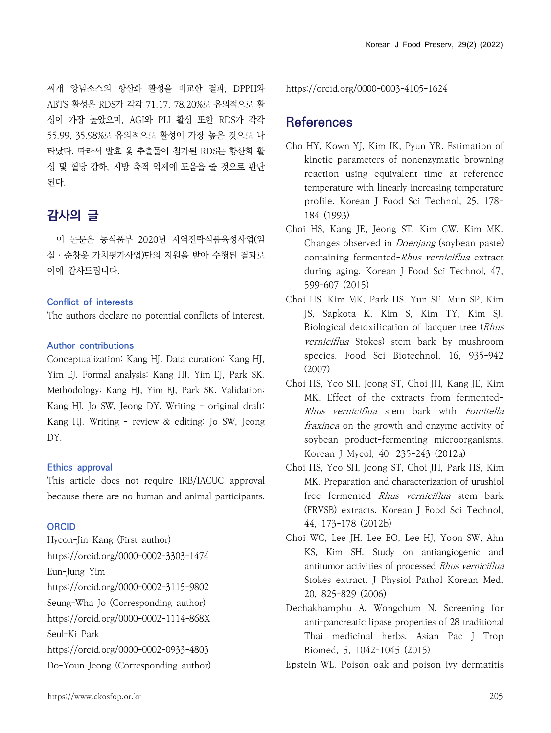찌개 양념소스의 항산화 활성을 비교한 결과, DPPH와 ABTS 활성은 RDS가 각각 71.17, 78.20%로 유의적으로 활 성이 가장 높았으며, AGI와 PLI 활성 또한 RDS가 각각 55.99, 35.98%로 유의적으로 활성이 가장 높은 것으로 나 타났다. 따라서 발효 옻 추출물이 첨가된 RDS는 항산화 활 성 및 혈당 강하, 지방 축적 억제에 도움을 줄 것으로 판단 된다.

# **감사의 글**

이 논문은 농식품부 2020년 지역전략식품육성사업(임 실․순창옻 가치평가사업)단의 지원을 받아 수행된 결과로 이에 감사드립니다.

#### **Conflict of interests**

The authors declare no potential conflicts of interest.

#### **Author contributions**

Conceptualization: Kang HJ. Data curation: Kang HJ, Yim EJ. Formal analysis: Kang HJ, Yim EJ, Park SK. Methodology: Kang HJ, Yim EJ, Park SK. Validation: Kang HJ, Jo SW, Jeong DY. Writing - original draft: Kang HJ. Writing - review & editing: Jo SW, Jeong DY.

#### **Ethics approval**

This article does not require IRB/IACUC approval because there are no human and animal participants.

#### **ORCID**

Hyeon-Jin Kang (First author) https://orcid.org/0000-0002-3303-1474 Eun-Jung Yim https://orcid.org/0000-0002-3115-9802 Seung-Wha Jo (Corresponding author) https://orcid.org/0000-0002-1114-868X Seul-Ki Park https://orcid.org/0000-0002-0933-4803 Do-Youn Jeong (Corresponding author) https://orcid.org/0000-0003-4105-1624

## **References**

- Cho HY, Kown YJ, Kim IK, Pyun YR. Estimation of kinetic parameters of nonenzymatic browning reaction using equivalent time at reference temperature with linearly increasing temperature profile. Korean J Food Sci Technol, 25, 178- 184 (1993)
- Choi HS, Kang JE, Jeong ST, Kim CW, Kim MK. Changes observed in Doenjang (soybean paste) containing fermented-Rhus verniciflua extract during aging. Korean J Food Sci Technol, 47, 599-607 (2015)
- Choi HS, Kim MK, Park HS, Yun SE, Mun SP, Kim JS, Sapkota K, Kim S, Kim TY, Kim SJ. Biological detoxification of lacquer tree (Rhus verniciflua Stokes) stem bark by mushroom species. Food Sci Biotechnol, 16, 935-942 (2007)
- Choi HS, Yeo SH, Jeong ST, Choi JH, Kang JE, Kim MK. Effect of the extracts from fermented-Rhus verniciflua stem bark with Fomitella fraxinea on the growth and enzyme activity of soybean product-fermenting microorganisms. Korean J Mycol, 40, 235-243 (2012a)
- Choi HS, Yeo SH, Jeong ST, Choi JH, Park HS, Kim MK. Preparation and characterization of urushiol free fermented Rhus verniciflua stem bark (FRVSB) extracts. Korean J Food Sci Technol, 44, 173-178 (2012b)
- Choi WC, Lee JH, Lee EO, Lee HJ, Yoon SW, Ahn KS, Kim SH. Study on antiangiogenic and antitumor activities of processed Rhus verniciflua Stokes extract. J Physiol Pathol Korean Med, 20, 825-829 (2006)
- Dechakhamphu A, Wongchum N. Screening for anti-pancreatic lipase properties of 28 traditional Thai medicinal herbs. Asian Pac J Trop Biomed, 5, 1042-1045 (2015)

Epstein WL. Poison oak and poison ivy dermatitis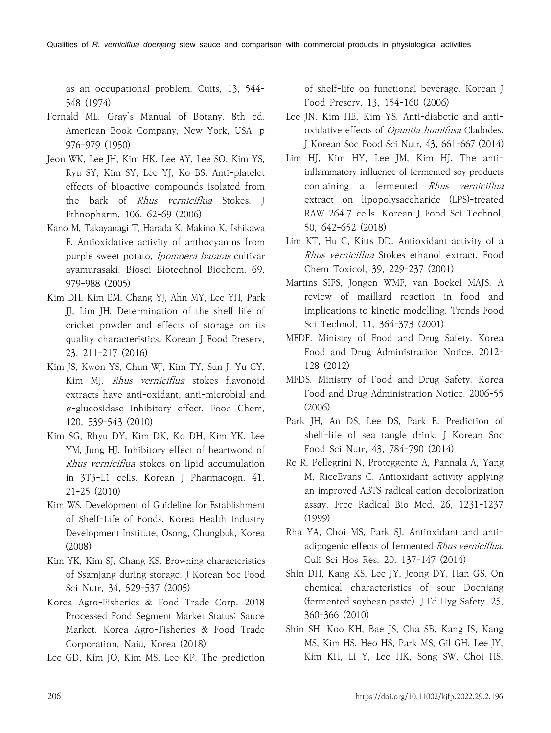as an occupational problem. Cuits, 13, 544- 548 (1974)

- Fernald ML. Gray's Manual of Botany. 8th ed. American Book Company, New York, USA, p 976-979 (1950)
- Jeon WK, Lee JH, Kim HK, Lee AY, Lee SO, Kim YS, Ryu SY, Kim SY, Lee YJ, Ko BS. Anti-platelet effects of bioactive compounds isolated from the bark of Rhus verniciflua Stokes. J Ethnopharm, 106, 62-69 (2006)
- Kano M, Takayanagi T, Harada K, Makino K, Ishikawa F. Antioxidative activity of anthocyanins from purple sweet potato, Ipomoera batatas cultivar ayamurasaki. Biosci Biotechnol Biochem, 69, 979-988 (2005)
- Kim DH, Kim EM, Chang YJ, Ahn MY, Lee YH, Park JJ, Lim JH. Determination of the shelf life of cricket powder and effects of storage on its quality characteristics. Korean J Food Preserv, 23, 211-217 (2016)
- Kim JS, Kwon YS, Chun WJ, Kim TY, Sun J, Yu CY, Kim MJ. Rhus verniciflua stokes flavonoid extracts have anti-oxidant, anti-microbial and  $\alpha$ -glucosidase inhibitory effect. Food Chem, 120, 539-543 (2010)
- Kim SG, Rhyu DY, Kim DK, Ko DH, Kim YK, Lee YM, Jung HJ. Inhibitory effect of heartwood of Rhus verniciflua stokes on lipid accumulation in 3T3-L1 cells. Korean J Pharmacogn, 41, 21-25 (2010)
- Kim WS. Development of Guideline for Establishment of Shelf-Life of Foods. Korea Health Industry Development Institute, Osong, Chungbuk, Korea (2008)
- Kim YK, Kim SJ, Chang KS. Browning characteristics of Ssamjang during storage. J Korean Soc Food Sci Nutr, 34, 529-537 (2005)
- Korea Agro-Fisheries & Food Trade Corp. 2018 Processed Food Segment Market Status: Sauce Market. Korea Agro-Fisheries & Food Trade Corporation, Naju, Korea (2018)
- Lee GD, Kim JO, Kim MS, Lee KP. The prediction

of shelf-life on functional beverage. Korean J Food Preserv, 13, 154-160 (2006)

- Lee JN, Kim HE, Kim YS. Anti-diabetic and antioxidative effects of *Opuntia humifusa* Cladodes. J Korean Soc Food Sci Nutr, 43, 661-667 (2014)
- Lim HJ, Kim HY, Lee JM, Kim HJ. The antiinflammatory influence of fermented soy products containing a fermented Rhus verniciflua extract on lipopolysaccharide (LPS)-treated RAW 264.7 cells. Korean J Food Sci Technol, 50, 642-652 (2018)
- Lim KT, Hu C, Kitts DD. Antioxidant activity of a Rhus verniciflua Stokes ethanol extract. Food Chem Toxicol, 39, 229-237 (2001)
- Martins SIFS, Jongen WMF, van Boekel MAJS. A review of maillard reaction in food and implications to kinetic modelling. Trends Food Sci Technol, 11, 364-373 (2001)
- MFDF. Ministry of Food and Drug Safety. Korea Food and Drug Administration Notice. 2012- 128 (2012)
- MFDS. Ministry of Food and Drug Safety. Korea Food and Drug Administration Notice. 2006-55 (2006)
- Park JH, An DS, Lee DS, Park E. Prediction of shelf-life of sea tangle drink. J Korean Soc Food Sci Nutr, 43, 784-790 (2014)
- Re R, Pellegrini N, Proteggente A, Pannala A, Yang M, RiceEvans C. Antioxidant activity applying an improved ABTS radical cation decolorization assay. Free Radical Bio Med, 26, 1231-1237 (1999)
- Rha YA, Choi MS, Park SJ. Antioxidant and antiadipogenic effects of fermented Rhus verniciflua. Culi Sci Hos Res, 20, 137-147 (2014)
- Shin DH, Kang KS, Lee JY, Jeong DY, Han GS. On chemical characteristics of sour Doenjang (fermented soybean paste). J Fd Hyg Safety, 25, 360-366 (2010)
- Shin SH, Koo KH, Bae JS, Cha SB, Kang IS, Kang MS, Kim HS, Heo HS, Park MS, Gil GH, Lee JY, Kim KH, Li Y, Lee HK, Song SW, Choi HS,